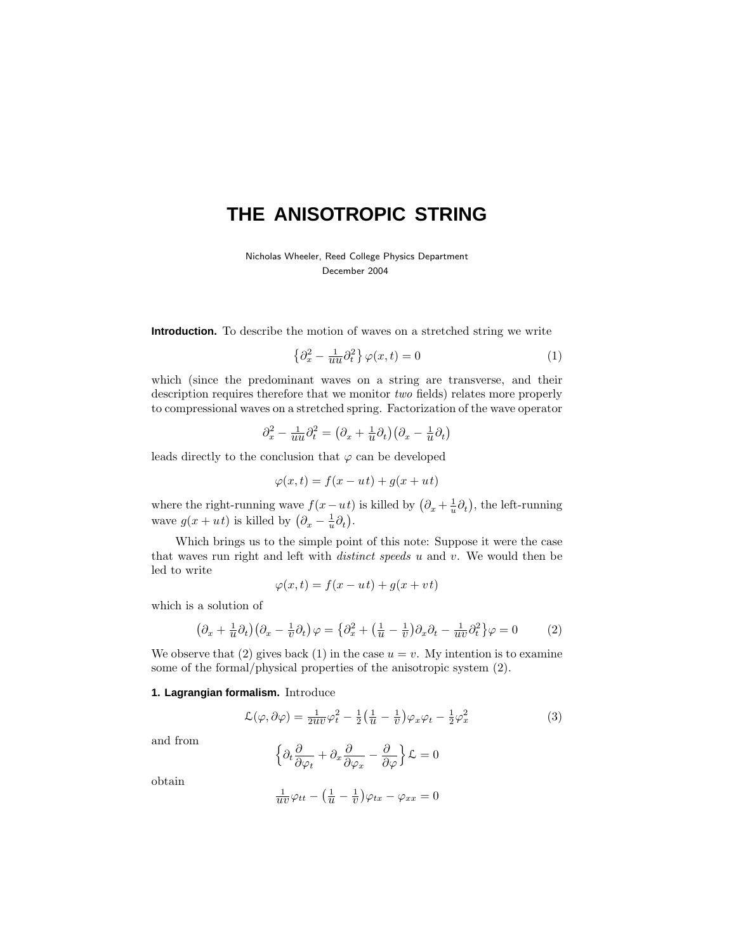# **THE ANISOTROPIC STRING**

Nicholas Wheeler, Reed College Physics Department December 2004

**Introduction.** To describe the motion of waves on a stretched string we write

$$
\left\{\partial_x^2 - \frac{1}{uu}\partial_t^2\right\}\varphi(x,t) = 0\tag{1}
$$

which (since the predominant waves on a string are transverse, and their description requires therefore that we monitor two fields) relates more properly to compressional waves on a stretched spring. Factorization of the wave operator

$$
\partial_x^2 - \frac{1}{u^2} \partial_t^2 = \left(\partial_x + \frac{1}{u} \partial_t\right) \left(\partial_x - \frac{1}{u} \partial_t\right)
$$

leads directly to the conclusion that  $\varphi$  can be developed

$$
\varphi(x,t) = f(x - ut) + g(x + ut)
$$

where the right-running wave  $f(x - ut)$  is killed by  $(\partial_x + \frac{1}{u}\partial_t)$ , the left-running wave  $g(x+ut)$  is killed by  $(\partial_x - \frac{1}{u}\partial_t)$ .

Which brings us to the simple point of this note: Suppose it were the case that waves run right and left with distinct speeds *u* and *v*.We would then be led to write

$$
\varphi(x,t) = f(x - ut) + g(x + vt)
$$

which is a solution of

$$
\left(\partial_x + \frac{1}{u}\partial_t\right)\left(\partial_x - \frac{1}{v}\partial_t\right)\varphi = \left\{\partial_x^2 + \left(\frac{1}{u} - \frac{1}{v}\right)\partial_x\partial_t - \frac{1}{uv}\partial_t^2\right\}\varphi = 0\tag{2}
$$

We observe that (2) gives back (1) in the case  $u = v$ . My intention is to examine some of the formal/physical properties of the anisotropic system (2).

## **1. Lagrangian formalism.** Introduce

$$
\mathcal{L}(\varphi, \partial \varphi) = \frac{1}{2uv}\varphi_t^2 - \frac{1}{2}\left(\frac{1}{u} - \frac{1}{v}\right)\varphi_x\varphi_t - \frac{1}{2}\varphi_x^2
$$
\n(3)

and from

$$
\left\{\partial_t \frac{\partial}{\partial \varphi_t} + \partial_x \frac{\partial}{\partial \varphi_x} - \frac{\partial}{\partial \varphi}\right\} \mathcal{L} = 0
$$

obtain

$$
\frac{1}{uv}\varphi_{tt} - \left(\frac{1}{u} - \frac{1}{v}\right)\varphi_{tx} - \varphi_{xx} = 0
$$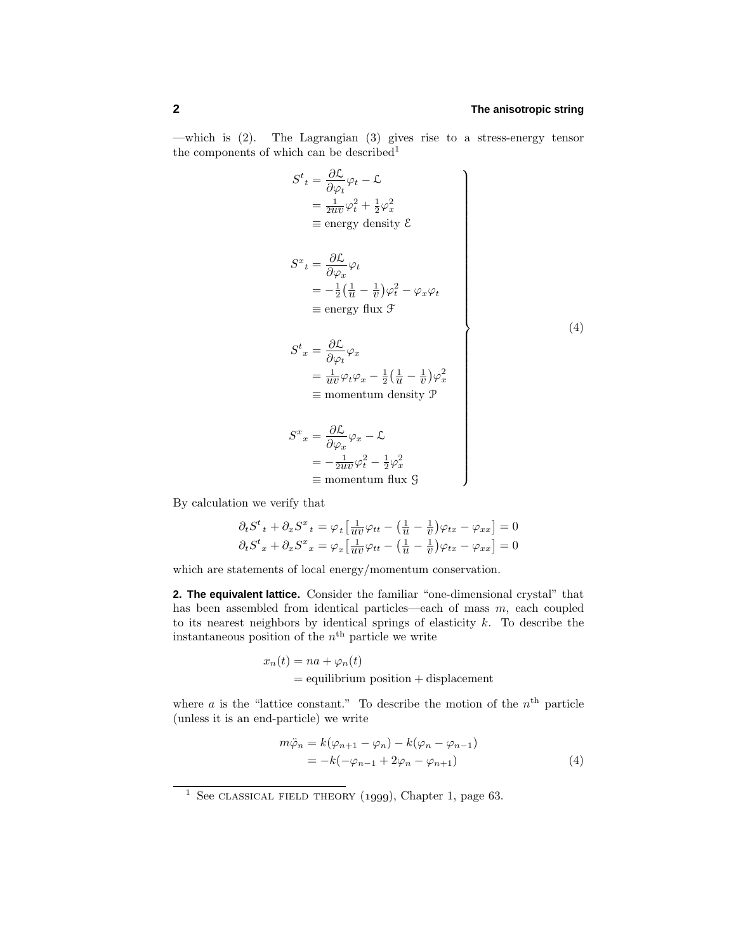—which is  $(2)$ . The Lagrangian  $(3)$  gives rise to a stress-energy tensor the components of which can be described<sup>1</sup>

$$
S^{t}{}_{t} = \frac{\partial \mathcal{L}}{\partial \varphi_{t}} \varphi_{t} - \mathcal{L}
$$
\n
$$
= \frac{1}{2uv} \varphi_{t}^{2} + \frac{1}{2} \varphi_{x}^{2}
$$
\n
$$
\equiv \text{energy density } \mathcal{E}
$$
\n
$$
S^{x}{}_{t} = \frac{\partial \mathcal{L}}{\partial \varphi_{x}} \varphi_{t}
$$
\n
$$
= -\frac{1}{2} (\frac{1}{u} - \frac{1}{v}) \varphi_{t}^{2} - \varphi_{x} \varphi_{t}
$$
\n
$$
\equiv \text{energy flux } \mathcal{F}
$$
\n
$$
S^{t}{}_{x} = \frac{\partial \mathcal{L}}{\partial \varphi_{t}} \varphi_{x}
$$
\n
$$
= \frac{1}{uv} \varphi_{t} \varphi_{x} - \frac{1}{2} (\frac{1}{u} - \frac{1}{v}) \varphi_{x}^{2}
$$
\n
$$
\equiv \text{momentum density } \mathcal{P}
$$
\n
$$
S^{x}{}_{x} = \frac{\partial \mathcal{L}}{\partial \varphi_{x}} \varphi_{x} - \mathcal{L}
$$
\n
$$
= -\frac{1}{2uv} \varphi_{t}^{2} - \frac{1}{2} \varphi_{x}^{2}
$$
\n
$$
\equiv \text{momentum flux } \mathcal{G}
$$

By calculation we verify that

$$
\partial_t S^t{}_t + \partial_x S^x{}_t = \varphi_t \left[ \frac{1}{uv} \varphi_{tt} - \left( \frac{1}{u} - \frac{1}{v} \right) \varphi_{tx} - \varphi_{xx} \right] = 0
$$
  

$$
\partial_t S^t{}_x + \partial_x S^x{}_x = \varphi_x \left[ \frac{1}{uv} \varphi_{tt} - \left( \frac{1}{u} - \frac{1}{v} \right) \varphi_{tx} - \varphi_{xx} \right] = 0
$$

which are statements of local energy/momentum conservation.

**2. The equivalent lattice.** Consider the familiar "one-dimensional crystal" that has been assembled from identical particles—each of mass  $m$ , each coupled to its nearest neighbors by identical springs of elasticity  $k$ . To describe the instantaneous position of the  $n^{\text{th}}$  particle we write

$$
x_n(t) = na + \varphi_n(t)
$$
  
= equilibrium position + displacement

where  $a$  is the "lattice constant." To describe the motion of the  $n<sup>th</sup>$  particle (unless it is an end-particle) we write

$$
m\ddot{\varphi}_n = k(\varphi_{n+1} - \varphi_n) - k(\varphi_n - \varphi_{n-1})
$$
  
=  $-k(-\varphi_{n-1} + 2\varphi_n - \varphi_{n+1})$  (4)

<sup>&</sup>lt;sup>1</sup> See CLASSICAL FIELD THEORY (1999), Chapter 1, page 63.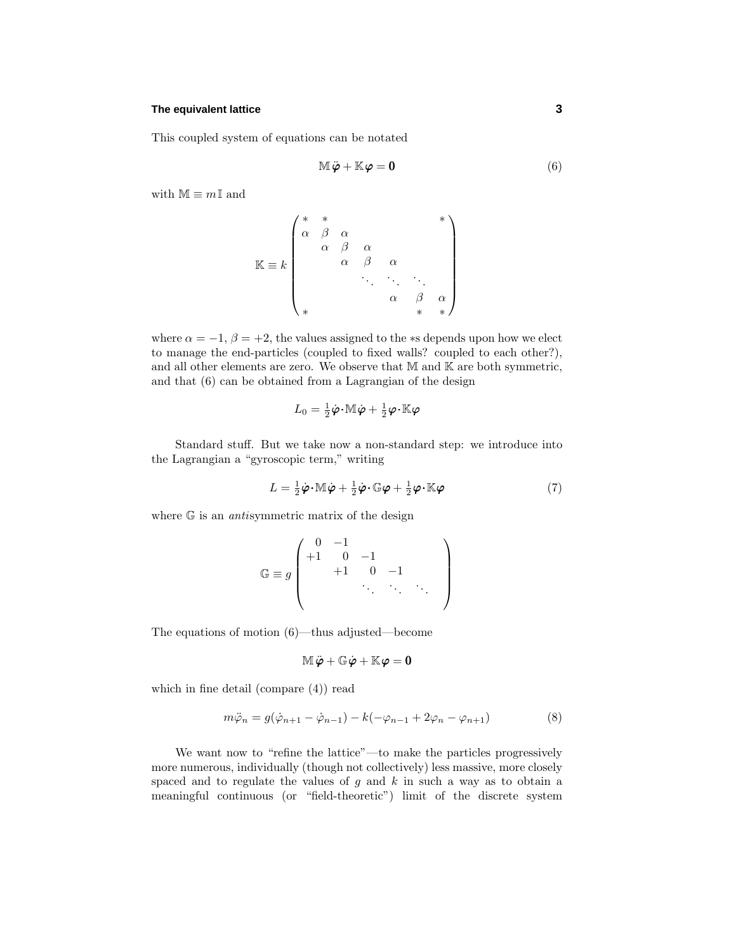#### **The equivalent lattice 3**

This coupled system of equations can be notated

$$
\mathbb{M}\ddot{\boldsymbol{\varphi}} + \mathbb{K}\boldsymbol{\varphi} = \mathbf{0} \tag{6}
$$

with  $M \equiv mI$  and

$$
\mathbb{K} \equiv k \begin{pmatrix} * & * & & & * \\ \alpha & \beta & \alpha & & & \\ & \alpha & \beta & \alpha & & \\ & & \alpha & \beta & \alpha & \\ & & & \ddots & \ddots & \ddots \\ & & & & \alpha & \beta & \alpha \\ * & & & & & * & * \end{pmatrix}
$$

where  $\alpha = -1$ ,  $\beta = +2$ , the values assigned to the \*s depends upon how we elect to manage the end-particles (coupled to fixed walls? coupled to each other?), and all other elements are zero. We observe that  $M$  and  $K$  are both symmetric, and that (6) can be obtained from a Lagrangian of the design

$$
L_0 = \tfrac{1}{2}\dot{\boldsymbol{\varphi}}\!\cdot\! \mathbb{M}\dot{\boldsymbol{\varphi}} + \tfrac{1}{2}\boldsymbol{\varphi}\!\cdot\!\mathbb{K}\boldsymbol{\varphi}
$$

Standard stuff. But we take now a non-standard step: we introduce into the Lagrangian a "gyroscopic term," writing

$$
L = \frac{1}{2}\dot{\boldsymbol{\varphi}} \cdot \mathbb{M}\dot{\boldsymbol{\varphi}} + \frac{1}{2}\dot{\boldsymbol{\varphi}} \cdot \mathbb{G}\boldsymbol{\varphi} + \frac{1}{2}\boldsymbol{\varphi}\cdot\mathbb{K}\boldsymbol{\varphi}
$$
\n(7)

where  $G$  is an *antisymmetric matrix* of the design

$$
\mathbb{G} \equiv g \left( \begin{array}{cccc} 0 & -1 & & & \\ +1 & 0 & -1 & & \\ & +1 & 0 & -1 & \\ & & \ddots & \ddots & \ddots \end{array} \right)
$$

The equations of motion (6)—thus adjusted—become

$$
\mathbb{M}\ddot{\boldsymbol{\varphi}} + \mathbb{G}\dot{\boldsymbol{\varphi}} + \mathbb{K}\boldsymbol{\varphi} = \mathbf{0}
$$

which in fine detail (compare (4)) read

$$
m\ddot{\varphi}_n = g(\dot{\varphi}_{n+1} - \dot{\varphi}_{n-1}) - k(-\varphi_{n-1} + 2\varphi_n - \varphi_{n+1})
$$
\n(8)

We want now to "refine the lattice"—to make the particles progressively more numerous, individually (though not collectively) less massive, more closely spaced and to regulate the values of *g* and *k* in such a way as to obtain a meaningful continuous (or "field-theoretic") limit of the discrete system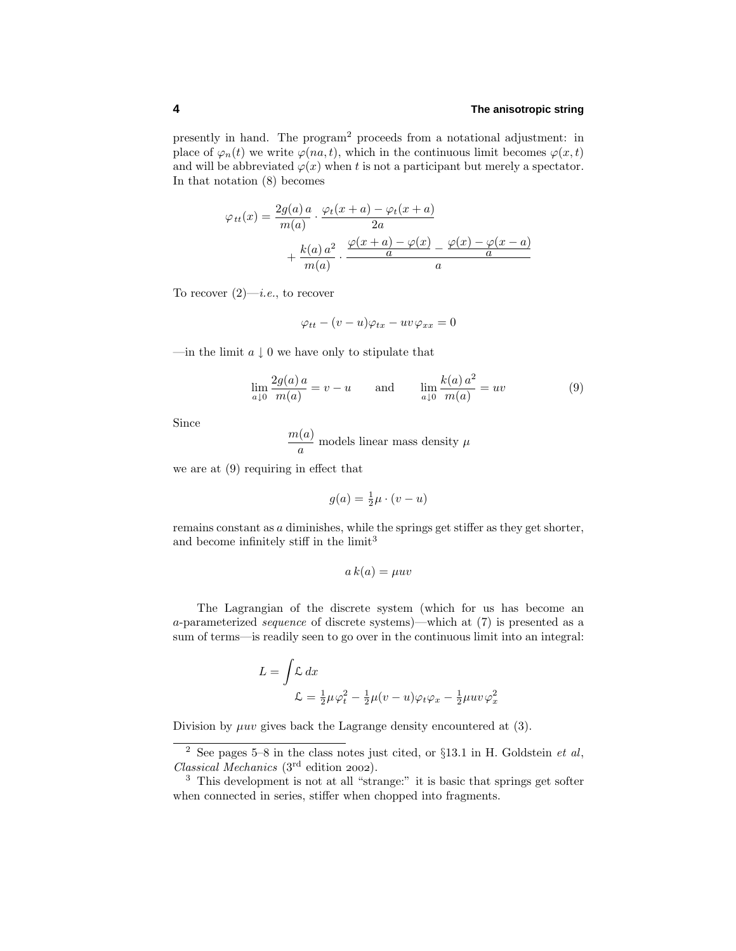### **4 The anisotropic string**

presently in hand.The program<sup>2</sup> proceeds from a notational adjustment: in place of  $\varphi_n(t)$  we write  $\varphi(na, t)$ , which in the continuous limit becomes  $\varphi(x, t)$ and will be abbreviated  $\varphi(x)$  when *t* is not a participant but merely a spectator. In that notation (8) becomes

$$
\varphi_{tt}(x) = \frac{2g(a)a}{m(a)} \cdot \frac{\varphi_t(x+a) - \varphi_t(x+a)}{2a} + \frac{k(a)a^2}{m(a)} \cdot \frac{\frac{\varphi(x+a) - \varphi(x)}{a} - \frac{\varphi(x) - \varphi(x-a)}{a}}{a}
$$

To recover  $(2)$ —*i.e.*, to recover

$$
\varphi_{tt} - (v - u)\varphi_{tx} - uv\varphi_{xx} = 0
$$

—in the limit  $a \downarrow 0$  we have only to stipulate that

$$
\lim_{a \downarrow 0} \frac{2g(a) a}{m(a)} = v - u \quad \text{and} \quad \lim_{a \downarrow 0} \frac{k(a) a^2}{m(a)} = uv \tag{9}
$$

Since

$$
\frac{m(a)}{a}
$$
 models linear mass density  $\mu$ 

we are at (9) requiring in effect that

$$
g(a) = \frac{1}{2}\mu \cdot (v - u)
$$

remains constant as *a* diminishes, while the springs get stiffer as they get shorter, and become infinitely stiff in the limit<sup>3</sup>

$$
a\,k(a) = \mu uv
$$

The Lagrangian of the discrete system (which for us has become an *a*-parameterized sequence of discrete systems)—which at (7) is presented as a sum of terms—is readily seen to go over in the continuous limit into an integral:

$$
L = \int \mathcal{L} dx
$$
  

$$
\mathcal{L} = \frac{1}{2}\mu\varphi_t^2 - \frac{1}{2}\mu(v - u)\varphi_t\varphi_x - \frac{1}{2}\mu uv \varphi_x^2
$$

Division by  $\mu uv$  gives back the Lagrange density encountered at  $(3)$ .

<sup>&</sup>lt;sup>2</sup> See pages 5–8 in the class notes just cited, or §13.1 in H. Goldstein *et al*, Classical Mechanics  $(3<sup>rd</sup>$  edition 2002).

<sup>3</sup> This development is not at all "strange:" it is basic that springs get softer when connected in series, stiffer when chopped into fragments.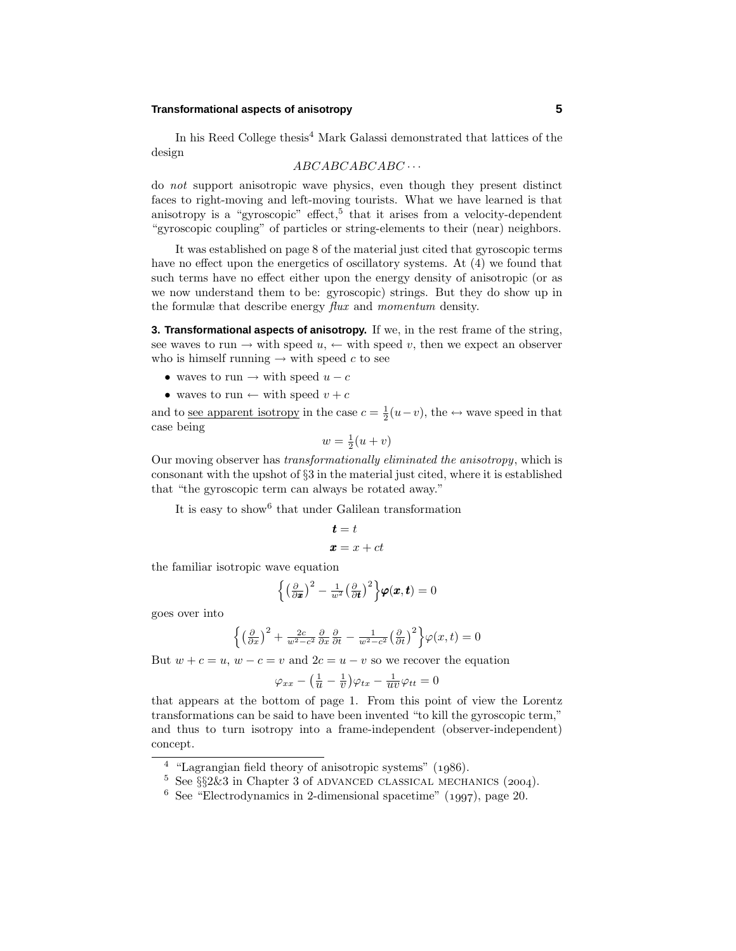## **Transformational aspects of anisotropy 5**

In his Reed College thesis<sup>4</sup> Mark Galassi demonstrated that lattices of the design

*ABCABCABCABC* ···

do not support anisotropic wave physics, even though they present distinct faces to right-moving and left-moving tourists.What we have learned is that anisotropy is a "gyroscopic" effect,<sup>5</sup> that it arises from a velocity-dependent "gyroscopic coupling" of particles or string-elements to their (near) neighbors.

It was established on page 8 of the material just cited that gyroscopic terms have no effect upon the energetics of oscillatory systems. At  $(4)$  we found that such terms have no effect either upon the energy density of anisotropic (or as we now understand them to be: gyroscopic) strings. But they do show up in the formulæ that describe energy flux and momentum density.

**3. Transformational aspects of anisotropy.** If we, in the rest frame of the string, see waves to run  $\rightarrow$  with speed  $u$ ,  $\leftarrow$  with speed v, then we expect an observer who is himself running  $\rightarrow$  with speed *c* to see

- waves to run  $\rightarrow$  with speed  $u c$
- waves to run  $\leftarrow$  with speed  $v + c$

and to <u>see apparent isotropy</u> in the case  $c = \frac{1}{2}(u-v)$ , the  $\leftrightarrow$  wave speed in that case being

$$
w = \frac{1}{2}(u+v)
$$

Our moving observer has transformationally eliminated the anisotropy, which is consonant with the upshot of §3 in the material just cited, where it is established that "the gyroscopic term can always be rotated away."

It is easy to show<sup>6</sup> that under Galilean transformation

$$
t = t
$$

$$
x = x + ct
$$

the familiar isotropic wave equation

$$
\left\{ \left(\frac{\partial}{\partial x}\right)^2 - \frac{1}{w^2} \left(\frac{\partial}{\partial t}\right)^2 \right\} \varphi(x,t) = 0
$$

goes over into

$$
\left\{ \left(\frac{\partial}{\partial x}\right)^2 + \frac{2c}{w^2 - c^2} \frac{\partial}{\partial x} \frac{\partial}{\partial t} - \frac{1}{w^2 - c^2} \left(\frac{\partial}{\partial t}\right)^2 \right\} \varphi(x, t) = 0
$$

But  $w + c = u$ ,  $w - c = v$  and  $2c = u - v$  so we recover the equation

$$
\varphi_{xx} - \left(\frac{1}{u} - \frac{1}{v}\right)\varphi_{tx} - \frac{1}{uv}\varphi_{tt} = 0
$$

that appears at the bottom of page 1.From this point of view the Lorentz transformations can be said to have been invented "to kill the gyroscopic term," and thus to turn isotropy into a frame-independent (observer-independent) concept.

 $4$  "Lagrangian field theory of anisotropic systems" (1986).

 $5$  See  $\S$  $2\&3$  in Chapter 3 of ADVANCED CLASSICAL MECHANICS (2004).

 $6$  See "Electrodynamics in 2-dimensional spacetime" (1997), page 20.